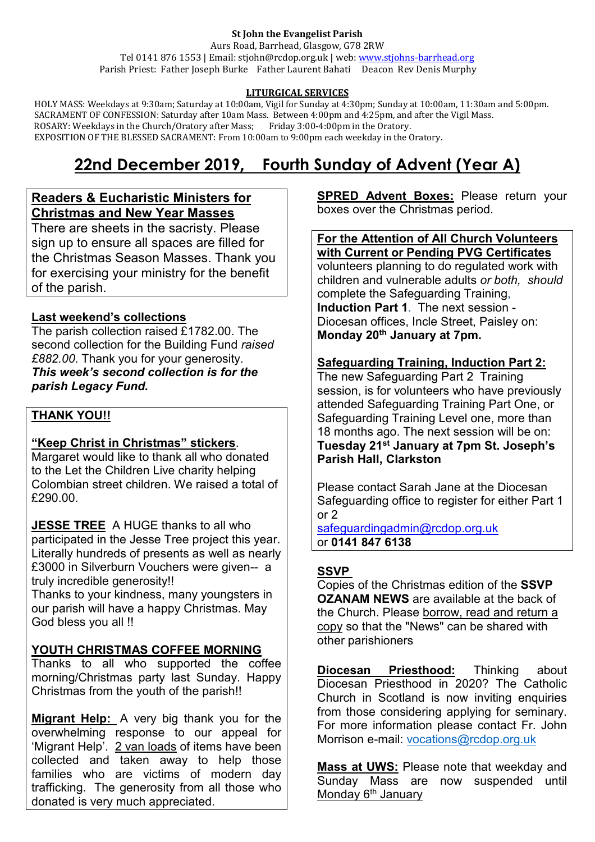#### **St John the Evangelist Parish**

Aurs Road, Barrhead, Glasgow, G78 2RW Tel 0141 876 1553 | Email: stjohn@rcdop.org.uk | web: [www.stjohns-barrhead.org](http://www.stjohns-barrhead.org/) Parish Priest: Father Joseph Burke Father Laurent Bahati Deacon Rev Denis Murphy

#### **LITURGICAL SERVICES**

 HOLY MASS: Weekdays at 9:30am; Saturday at 10:00am, Vigil for Sunday at 4:30pm; Sunday at 10:00am, 11:30am and 5:00pm. SACRAMENT OF CONFESSION: Saturday after 10am Mass. Between 4:00pm and 4:25pm, and after the Vigil Mass. ROSARY: Weekdays in the Church/Oratory after Mass; Friday 3:00-4:00pm in the Oratory. EXPOSITION OF THE BLESSED SACRAMENT: From 10:00am to 9:00pm each weekday in the Oratory.

# **22nd December 2019, Fourth Sunday of Advent (Year A)**

## **Readers & Eucharistic Ministers for Christmas and New Year Masses**

There are sheets in the sacristy. Please sign up to ensure all spaces are filled for the Christmas Season Masses. Thank you for exercising your ministry for the benefit of the parish.

# **Last weekend's collections**

The parish collection raised £1782.00. The second collection for the Building Fund *raised £882.00*. Thank you for your generosity. *This week's second collection is for the parish Legacy Fund.*

#### **THANK YOU!!**

# **"Keep Christ in Christmas" stickers**.

Margaret would like to thank all who donated to the Let the Children Live charity helping Colombian street children. We raised a total of £290.00.

**JESSE TREE** A HUGE thanks to all who participated in the Jesse Tree project this year. Literally hundreds of presents as well as nearly £3000 in Silverburn Vouchers were given-- a truly incredible generosity!!

Thanks to your kindness, many youngsters in our parish will have a happy Christmas. May God bless you all !!

# **YOUTH CHRISTMAS COFFEE MORNING**

Thanks to all who supported the coffee morning/Christmas party last Sunday. Happy Christmas from the youth of the parish!!

**Migrant Help:** A very big thank you for the overwhelming response to our appeal for 'Migrant Help'. 2 van loads of items have been collected and taken away to help those families who are victims of modern day trafficking. The generosity from all those who donated is very much appreciated.

**SPRED Advent Boxes:** Please return your boxes over the Christmas period.

#### **For the Attention of All Church Volunteers with Current or Pending PVG Certificates**

volunteers planning to do regulated work with children and vulnerable adults *or both, should* complete the Safeguarding Training, **Induction Part 1**. The next session - Diocesan offices, Incle Street, Paisley on: **Monday 20th January at 7pm.** 

# **Safeguarding Training, Induction Part 2:**

The new Safeguarding Part 2 Training session, is for volunteers who have previously attended Safeguarding Training Part One, or Safeguarding Training Level one, more than 18 months ago. The next session will be on: **Tuesday 21st January at 7pm St. Joseph's Parish Hall, Clarkston**

Please contact Sarah Jane at the Diocesan Safeguarding office to register for either Part 1 or 2

[safeguardingadmin@rcdop.org.uk](mailto:safeguardingadmin@rcdop.org.uk) or **0141 847 6138**

# **SSVP**

Copies of the Christmas edition of the **SSVP OZANAM NEWS** are available at the back of the Church. Please borrow, read and return a copy so that the "News" can be shared with other parishioners

**Diocesan Priesthood:** Thinking about Diocesan Priesthood in 2020? The Catholic Church in Scotland is now inviting enquiries from those considering applying for seminary. For more information please contact Fr. John Morrison e-mail: [vocations@rcdop.org.uk](mailto:vocations@rcdop.org.uk)

**Mass at UWS:** Please note that weekday and Sunday Mass are now suspended until Monday 6<sup>th</sup> January